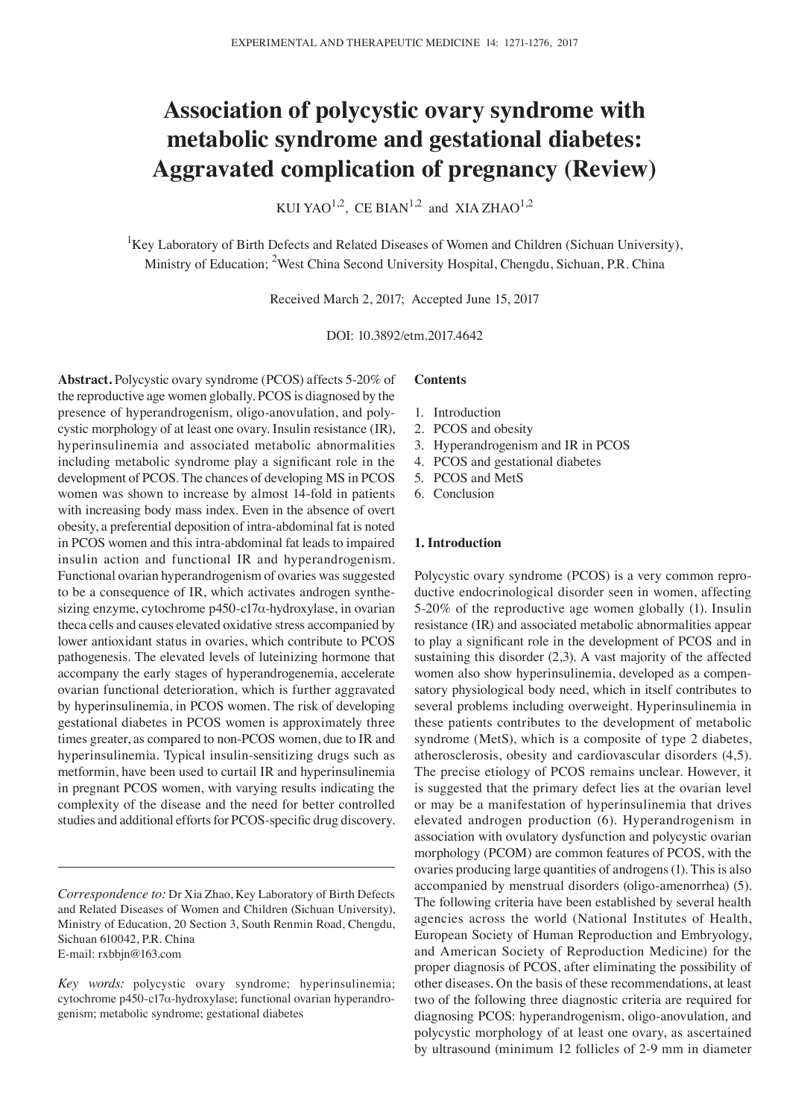# **Association of polycystic ovary syndrome with metabolic syndrome and gestational diabetes: Aggravated complication of pregnancy (Review)**

KUI YAO<sup>1,2</sup>, CE BIAN<sup>1,2</sup> and XIA ZHAO<sup>1,2</sup>

<sup>1</sup>Key Laboratory of Birth Defects and Related Diseases of Women and Children (Sichuan University), Ministry of Education; <sup>2</sup>West China Second University Hospital, Chengdu, Sichuan, P.R. China

Received March 2, 2017; Accepted June 15, 2017

DOI: 10.3892/etm.2017.4642

**Abstract.** Polycystic ovary syndrome (PCOS) affects 5-20% of the reproductive age women globally. PCOS is diagnosed by the presence of hyperandrogenism, oligo-anovulation, and polycystic morphology of at least one ovary. Insulin resistance (IR), hyperinsulinemia and associated metabolic abnormalities including metabolic syndrome play a significant role in the development of PCOS. The chances of developing MS in PCOS women was shown to increase by almost 14-fold in patients with increasing body mass index. Even in the absence of overt obesity, a preferential deposition of intra-abdominal fat is noted in PCOS women and this intra-abdominal fat leads to impaired insulin action and functional IR and hyperandrogenism. Functional ovarian hyperandrogenism of ovaries was suggested to be a consequence of IR, which activates androgen synthesizing enzyme, cytochrome p450-c17α-hydroxylase, in ovarian theca cells and causes elevated oxidative stress accompanied by lower antioxidant status in ovaries, which contribute to PCOS pathogenesis. The elevated levels of luteinizing hormone that accompany the early stages of hyperandrogenemia, accelerate ovarian functional deterioration, which is further aggravated by hyperinsulinemia, in PCOS women. The risk of developing gestational diabetes in PCOS women is approximately three times greater, as compared to non-PCOS women, due to IR and hyperinsulinemia. Typical insulin-sensitizing drugs such as metformin, have been used to curtail IR and hyperinsulinemia in pregnant PCOS women, with varying results indicating the complexity of the disease and the need for better controlled studies and additional efforts for PCOS‑specific drug discovery.

*Correspondence to:* Dr Xia Zhao, Key Laboratory of Birth Defects and Related Diseases of Women and Children (Sichuan University), Ministry of Education, 20 Section 3, South Renmin Road, Chengdu, Sichuan 610042, P.R. China E-mail: rxbbjn@163.com

## **Contents**

- 1. Introduction
- 2. PCOS and obesity
- 3. Hyperandrogenism and IR in PCOS
- 4. PCOS and gestational diabetes
- 5. PCOS and MetS
- 6. Conclusion

## **1. Introduction**

Polycystic ovary syndrome (PCOS) is a very common reproductive endocrinological disorder seen in women, affecting 5-20% of the reproductive age women globally (1). Insulin resistance (IR) and associated metabolic abnormalities appear to play a significant role in the development of PCOS and in sustaining this disorder (2,3). A vast majority of the affected women also show hyperinsulinemia, developed as a compensatory physiological body need, which in itself contributes to several problems including overweight. Hyperinsulinemia in these patients contributes to the development of metabolic syndrome (MetS), which is a composite of type 2 diabetes, atherosclerosis, obesity and cardiovascular disorders (4,5). The precise etiology of PCOS remains unclear. However, it is suggested that the primary defect lies at the ovarian level or may be a manifestation of hyperinsulinemia that drives elevated androgen production (6). Hyperandrogenism in association with ovulatory dysfunction and polycystic ovarian morphology (PCOM) are common features of PCOS, with the ovaries producing large quantities of androgens(1). This is also accompanied by menstrual disorders (oligo-amenorrhea) (5). The following criteria have been established by several health agencies across the world (National Institutes of Health, European Society of Human Reproduction and Embryology, and American Society of Reproduction Medicine) for the proper diagnosis of PCOS, after eliminating the possibility of other diseases. On the basis of these recommendations, at least two of the following three diagnostic criteria are required for diagnosing PCOS: hyperandrogenism, oligo-anovulation, and polycystic morphology of at least one ovary, as ascertained by ultrasound (minimum 12 follicles of 2-9 mm in diameter

*Key words:* polycystic ovary syndrome; hyperinsulinemia; cytochrome p450-c17α-hydroxylase; functional ovarian hyperandrogenism; metabolic syndrome; gestational diabetes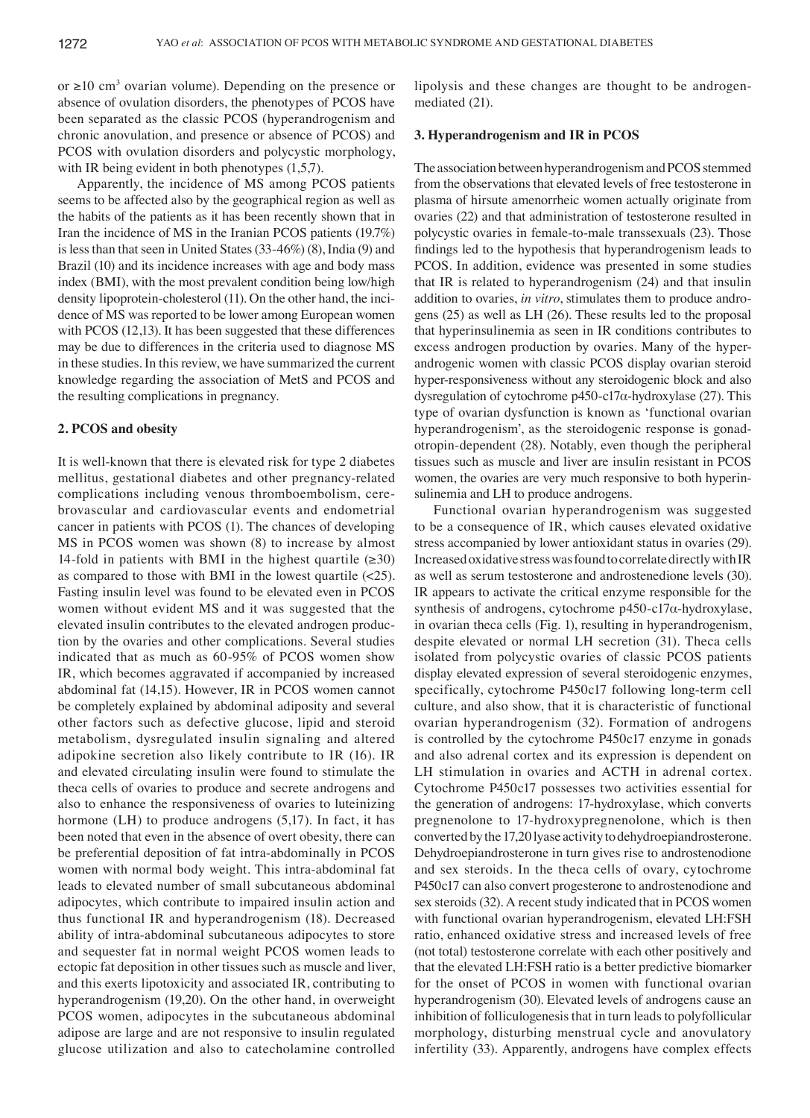or  $\geq 10$  cm<sup>3</sup> ovarian volume). Depending on the presence or absence of ovulation disorders, the phenotypes of PCOS have been separated as the classic PCOS (hyperandrogenism and chronic anovulation, and presence or absence of PCOS) and PCOS with ovulation disorders and polycystic morphology, with IR being evident in both phenotypes  $(1,5,7)$ .

Apparently, the incidence of MS among PCOS patients seems to be affected also by the geographical region as well as the habits of the patients as it has been recently shown that in Iran the incidence of MS in the Iranian PCOS patients (19.7%) is less than that seen in United States (33-46%) (8), India (9) and Brazil (10) and its incidence increases with age and body mass index (BMI), with the most prevalent condition being low/high density lipoprotein-cholesterol (11). On the other hand, the incidence of MS was reported to be lower among European women with PCOS (12,13). It has been suggested that these differences may be due to differences in the criteria used to diagnose MS in these studies. In this review, we have summarized the current knowledge regarding the association of MetS and PCOS and the resulting complications in pregnancy.

# **2. PCOS and obesity**

It is well-known that there is elevated risk for type 2 diabetes mellitus, gestational diabetes and other pregnancy-related complications including venous thromboembolism, cerebrovascular and cardiovascular events and endometrial cancer in patients with PCOS (1). The chances of developing MS in PCOS women was shown (8) to increase by almost 14-fold in patients with BMI in the highest quartile  $(\geq 30)$ as compared to those with BMI in the lowest quartile  $\left( \langle 25 \rangle \right)$ . Fasting insulin level was found to be elevated even in PCOS women without evident MS and it was suggested that the elevated insulin contributes to the elevated androgen production by the ovaries and other complications. Several studies indicated that as much as 60-95% of PCOS women show IR, which becomes aggravated if accompanied by increased abdominal fat (14,15). However, IR in PCOS women cannot be completely explained by abdominal adiposity and several other factors such as defective glucose, lipid and steroid metabolism, dysregulated insulin signaling and altered adipokine secretion also likely contribute to IR (16). IR and elevated circulating insulin were found to stimulate the theca cells of ovaries to produce and secrete androgens and also to enhance the responsiveness of ovaries to luteinizing hormone (LH) to produce androgens (5,17). In fact, it has been noted that even in the absence of overt obesity, there can be preferential deposition of fat intra-abdominally in PCOS women with normal body weight. This intra-abdominal fat leads to elevated number of small subcutaneous abdominal adipocytes, which contribute to impaired insulin action and thus functional IR and hyperandrogenism (18). Decreased ability of intra-abdominal subcutaneous adipocytes to store and sequester fat in normal weight PCOS women leads to ectopic fat deposition in other tissues such as muscle and liver, and this exerts lipotoxicity and associated IR, contributing to hyperandrogenism (19,20). On the other hand, in overweight PCOS women, adipocytes in the subcutaneous abdominal adipose are large and are not responsive to insulin regulated glucose utilization and also to catecholamine controlled lipolysis and these changes are thought to be androgenmediated (21).

# **3. Hyperandrogenism and IR in PCOS**

The association between hyperandrogenism and PCOS stemmed from the observations that elevated levels of free testosterone in plasma of hirsute amenorrheic women actually originate from ovaries (22) and that administration of testosterone resulted in polycystic ovaries in female-to-male transsexuals (23). Those findings led to the hypothesis that hyperandrogenism leads to PCOS. In addition, evidence was presented in some studies that IR is related to hyperandrogenism (24) and that insulin addition to ovaries, *in vitro*, stimulates them to produce androgens (25) as well as LH (26). These results led to the proposal that hyperinsulinemia as seen in IR conditions contributes to excess androgen production by ovaries. Many of the hyperandrogenic women with classic PCOS display ovarian steroid hyper-responsiveness without any steroidogenic block and also dysregulation of cytochrome p450-c17α-hydroxylase (27). This type of ovarian dysfunction is known as ʻfunctional ovarian hyperandrogenism', as the steroidogenic response is gonadotropin-dependent (28). Notably, even though the peripheral tissues such as muscle and liver are insulin resistant in PCOS women, the ovaries are very much responsive to both hyperinsulinemia and LH to produce androgens.

Functional ovarian hyperandrogenism was suggested to be a consequence of IR, which causes elevated oxidative stress accompanied by lower antioxidant status in ovaries (29). Increased oxidative stress was found to correlate directly with IR as well as serum testosterone and androstenedione levels (30). IR appears to activate the critical enzyme responsible for the synthesis of androgens, cytochrome p450-c17α-hydroxylase, in ovarian theca cells (Fig. 1), resulting in hyperandrogenism, despite elevated or normal LH secretion (31). Theca cells isolated from polycystic ovaries of classic PCOS patients display elevated expression of several steroidogenic enzymes, specifically, cytochrome P450c17 following long-term cell culture, and also show, that it is characteristic of functional ovarian hyperandrogenism (32). Formation of androgens is controlled by the cytochrome P450c17 enzyme in gonads and also adrenal cortex and its expression is dependent on LH stimulation in ovaries and ACTH in adrenal cortex. Cytochrome P450c17 possesses two activities essential for the generation of androgens: 17-hydroxylase, which converts pregnenolone to 17-hydroxypregnenolone, which is then converted by the 17,20 lyase activity to dehydroepiandrosterone. Dehydroepiandrosterone in turn gives rise to androstenodione and sex steroids. In the theca cells of ovary, cytochrome P450c17 can also convert progesterone to androstenodione and sex steroids(32). A recent study indicated that in PCOS women with functional ovarian hyperandrogenism, elevated LH:FSH ratio, enhanced oxidative stress and increased levels of free (not total) testosterone correlate with each other positively and that the elevated LH:FSH ratio is a better predictive biomarker for the onset of PCOS in women with functional ovarian hyperandrogenism (30). Elevated levels of androgens cause an inhibition of folliculogenesis that in turn leads to polyfollicular morphology, disturbing menstrual cycle and anovulatory infertility (33). Apparently, androgens have complex effects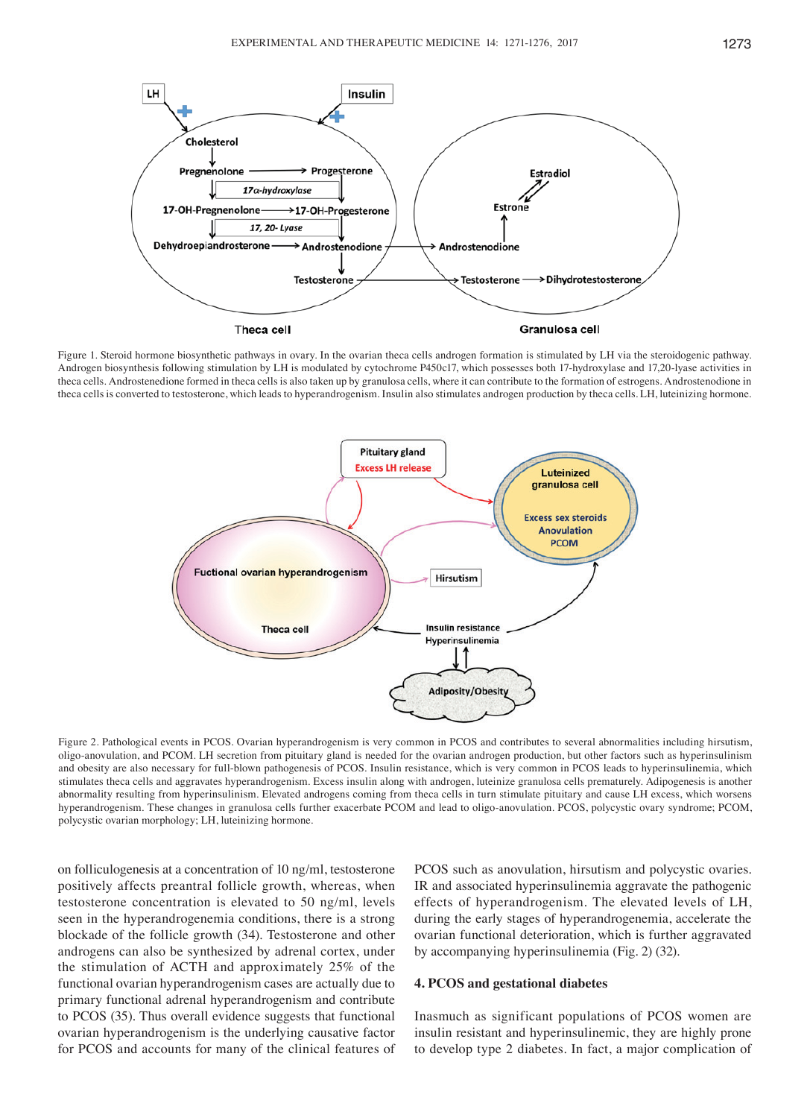

Figure 1. Steroid hormone biosynthetic pathways in ovary. In the ovarian theca cells androgen formation is stimulated by LH via the steroidogenic pathway. Androgen biosynthesis following stimulation by LH is modulated by cytochrome P450c17, which possesses both 17-hydroxylase and 17,20-lyase activities in theca cells. Androstenedione formed in theca cells is also taken up by granulosa cells, where it can contribute to the formation of estrogens. Androstenodione in theca cells is converted to testosterone, which leads to hyperandrogenism. Insulin also stimulates androgen production by theca cells. LH, luteinizing hormone.



Figure 2. Pathological events in PCOS. Ovarian hyperandrogenism is very common in PCOS and contributes to several abnormalities including hirsutism, oligo-anovulation, and PCOM. LH secretion from pituitary gland is needed for the ovarian androgen production, but other factors such as hyperinsulinism and obesity are also necessary for full-blown pathogenesis of PCOS. Insulin resistance, which is very common in PCOS leads to hyperinsulinemia, which stimulates theca cells and aggravates hyperandrogenism. Excess insulin along with androgen, luteinize granulosa cells prematurely. Adipogenesis is another abnormality resulting from hyperinsulinism. Elevated androgens coming from theca cells in turn stimulate pituitary and cause LH excess, which worsens hyperandrogenism. These changes in granulosa cells further exacerbate PCOM and lead to oligo-anovulation. PCOS, polycystic ovary syndrome; PCOM, polycystic ovarian morphology; LH, luteinizing hormone.

on folliculogenesis at a concentration of 10 ng/ml, testosterone positively affects preantral follicle growth, whereas, when testosterone concentration is elevated to 50 ng/ml, levels seen in the hyperandrogenemia conditions, there is a strong blockade of the follicle growth (34). Testosterone and other androgens can also be synthesized by adrenal cortex, under the stimulation of ACTH and approximately 25% of the functional ovarian hyperandrogenism cases are actually due to primary functional adrenal hyperandrogenism and contribute to PCOS (35). Thus overall evidence suggests that functional ovarian hyperandrogenism is the underlying causative factor for PCOS and accounts for many of the clinical features of PCOS such as anovulation, hirsutism and polycystic ovaries. IR and associated hyperinsulinemia aggravate the pathogenic effects of hyperandrogenism. The elevated levels of LH, during the early stages of hyperandrogenemia, accelerate the ovarian functional deterioration, which is further aggravated by accompanying hyperinsulinemia (Fig. 2) (32).

#### **4. PCOS and gestational diabetes**

Inasmuch as significant populations of PCOS women are insulin resistant and hyperinsulinemic, they are highly prone to develop type 2 diabetes. In fact, a major complication of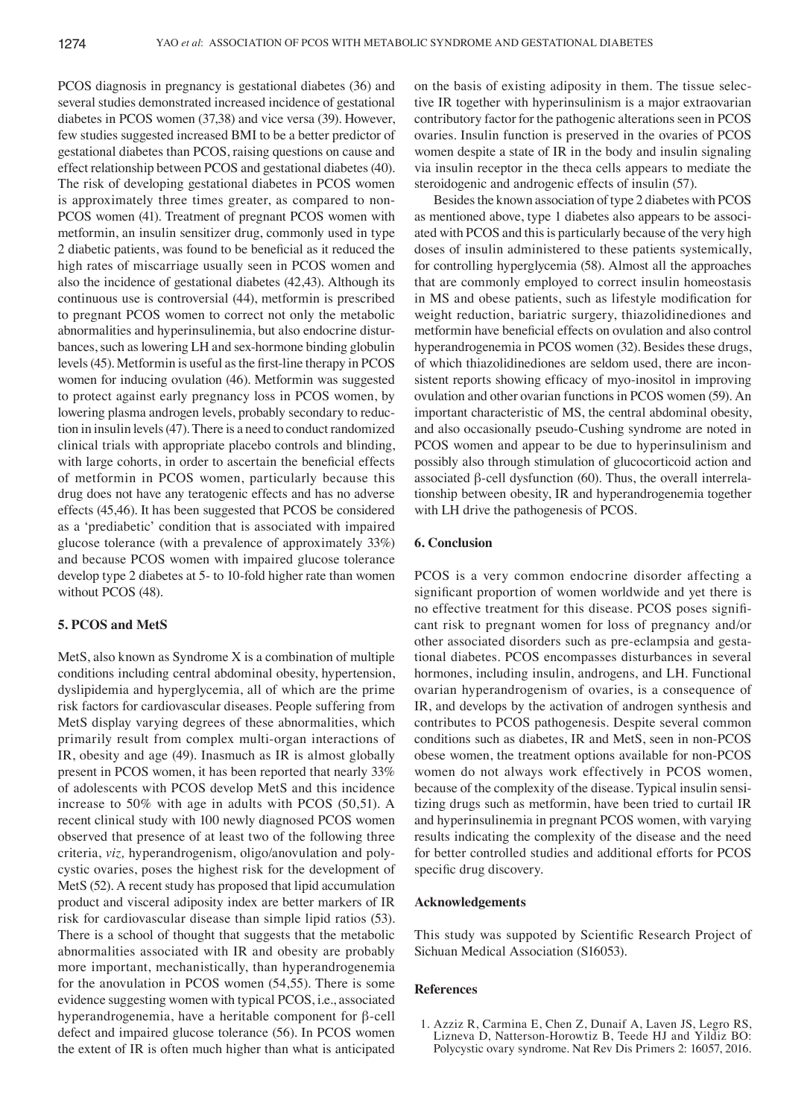PCOS diagnosis in pregnancy is gestational diabetes (36) and several studies demonstrated increased incidence of gestational diabetes in PCOS women (37,38) and vice versa (39). However, few studies suggested increased BMI to be a better predictor of gestational diabetes than PCOS, raising questions on cause and effect relationship between PCOS and gestational diabetes (40). The risk of developing gestational diabetes in PCOS women is approximately three times greater, as compared to non-PCOS women (41). Treatment of pregnant PCOS women with metformin, an insulin sensitizer drug, commonly used in type 2 diabetic patients, was found to be beneficial as it reduced the high rates of miscarriage usually seen in PCOS women and also the incidence of gestational diabetes (42,43). Although its continuous use is controversial (44), metformin is prescribed to pregnant PCOS women to correct not only the metabolic abnormalities and hyperinsulinemia, but also endocrine disturbances, such as lowering LH and sex-hormone binding globulin levels(45). Metformin is useful as the first-line therapy in PCOS women for inducing ovulation (46). Metformin was suggested to protect against early pregnancy loss in PCOS women, by lowering plasma androgen levels, probably secondary to reduction in insulin levels(47). There is a need to conduct randomized clinical trials with appropriate placebo controls and blinding, with large cohorts, in order to ascertain the beneficial effects of metformin in PCOS women, particularly because this drug does not have any teratogenic effects and has no adverse effects (45,46). It has been suggested that PCOS be considered as a ʻprediabetic' condition that is associated with impaired glucose tolerance (with a prevalence of approximately 33%) and because PCOS women with impaired glucose tolerance develop type 2 diabetes at 5- to 10-fold higher rate than women without PCOS (48).

## **5. PCOS and MetS**

MetS, also known as Syndrome X is a combination of multiple conditions including central abdominal obesity, hypertension, dyslipidemia and hyperglycemia, all of which are the prime risk factors for cardiovascular diseases. People suffering from MetS display varying degrees of these abnormalities, which primarily result from complex multi-organ interactions of IR, obesity and age (49). Inasmuch as IR is almost globally present in PCOS women, it has been reported that nearly 33% of adolescents with PCOS develop MetS and this incidence increase to 50% with age in adults with PCOS (50,51). A recent clinical study with 100 newly diagnosed PCOS women observed that presence of at least two of the following three criteria, *viz,* hyperandrogenism, oligo/anovulation and polycystic ovaries, poses the highest risk for the development of MetS (52). A recent study has proposed that lipid accumulation product and visceral adiposity index are better markers of IR risk for cardiovascular disease than simple lipid ratios (53). There is a school of thought that suggests that the metabolic abnormalities associated with IR and obesity are probably more important, mechanistically, than hyperandrogenemia for the anovulation in PCOS women (54,55). There is some evidence suggesting women with typical PCOS, i.e., associated hyperandrogenemia, have a heritable component for β-cell defect and impaired glucose tolerance (56). In PCOS women the extent of IR is often much higher than what is anticipated on the basis of existing adiposity in them. The tissue selective IR together with hyperinsulinism is a major extraovarian contributory factor for the pathogenic alterations seen in PCOS ovaries. Insulin function is preserved in the ovaries of PCOS women despite a state of IR in the body and insulin signaling via insulin receptor in the theca cells appears to mediate the steroidogenic and androgenic effects of insulin (57).

Besides the known association of type 2 diabetes with PCOS as mentioned above, type 1 diabetes also appears to be associated with PCOS and this is particularly because of the very high doses of insulin administered to these patients systemically, for controlling hyperglycemia (58). Almost all the approaches that are commonly employed to correct insulin homeostasis in MS and obese patients, such as lifestyle modification for weight reduction, bariatric surgery, thiazolidinediones and metformin have beneficial effects on ovulation and also control hyperandrogenemia in PCOS women (32). Besides these drugs, of which thiazolidinediones are seldom used, there are inconsistent reports showing efficacy of myo-inositol in improving ovulation and other ovarian functions in PCOS women (59). An important characteristic of MS, the central abdominal obesity, and also occasionally pseudo-Cushing syndrome are noted in PCOS women and appear to be due to hyperinsulinism and possibly also through stimulation of glucocorticoid action and associated β-cell dysfunction (60). Thus, the overall interrelationship between obesity, IR and hyperandrogenemia together with LH drive the pathogenesis of PCOS.

#### **6. Conclusion**

PCOS is a very common endocrine disorder affecting a significant proportion of women worldwide and yet there is no effective treatment for this disease. PCOS poses significant risk to pregnant women for loss of pregnancy and/or other associated disorders such as pre-eclampsia and gestational diabetes. PCOS encompasses disturbances in several hormones, including insulin, androgens, and LH. Functional ovarian hyperandrogenism of ovaries, is a consequence of IR, and develops by the activation of androgen synthesis and contributes to PCOS pathogenesis. Despite several common conditions such as diabetes, IR and MetS, seen in non-PCOS obese women, the treatment options available for non-PCOS women do not always work effectively in PCOS women, because of the complexity of the disease. Typical insulin sensitizing drugs such as metformin, have been tried to curtail IR and hyperinsulinemia in pregnant PCOS women, with varying results indicating the complexity of the disease and the need for better controlled studies and additional efforts for PCOS specific drug discovery.

#### **Acknowledgements**

This study was suppoted by Scientific Research Project of Sichuan Medical Association (S16053).

#### **References**

1. Azziz R, Carmina E, Chen Z, Dunaif A, Laven JS, Legro RS, Lizneva D, Natterson-Horowtiz B, Teede HJ and Yildiz BO: Polycystic ovary syndrome. Nat Rev Dis Primers 2: 16057, 2016.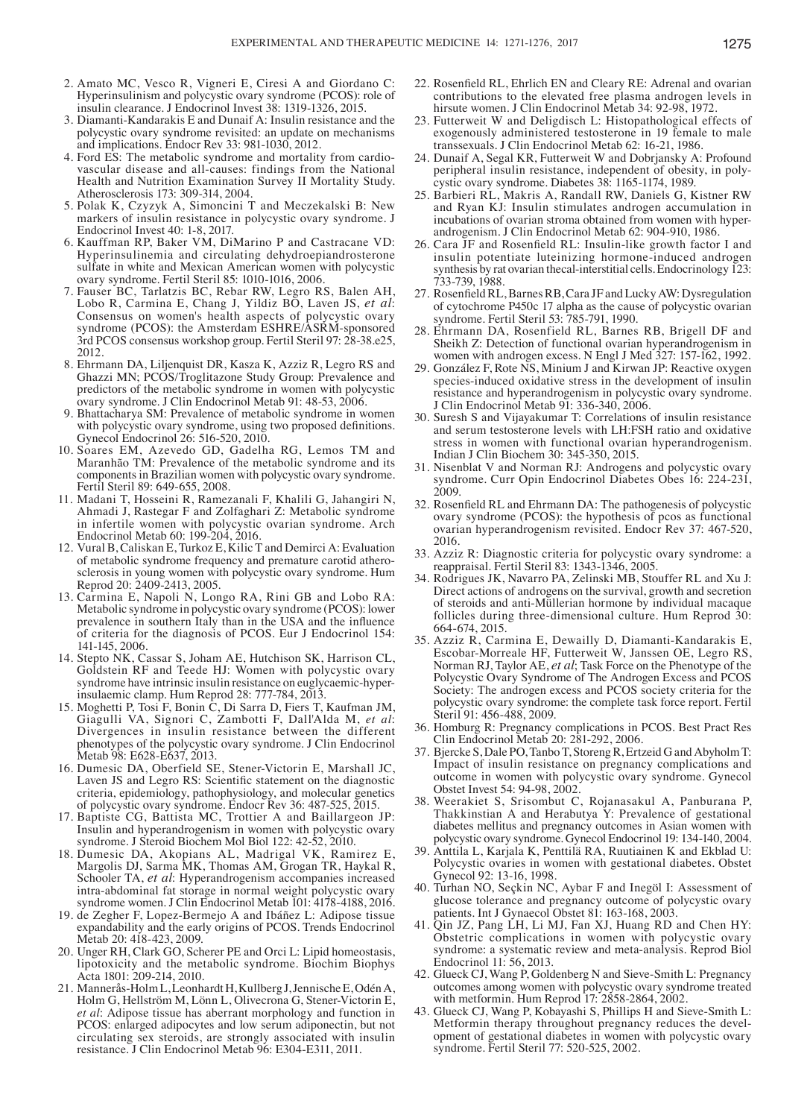- 2. Amato MC, Vesco R, Vigneri E, Ciresi A and Giordano C: Hyperinsulinism and polycystic ovary syndrome (PCOS): role of insulin clearance. J Endocrinol Invest 38: 1319-1326, 2015.
- 3. Diamanti-Kandarakis E and Dunaif A: Insulin resistance and the polycystic ovary syndrome revisited: an update on mechanisms and implications. Endocr Rev 33: 981-1030, 2012.
- vascular disease and all-causes: findings from the National Health and Nutrition Examination Survey II Mortality Study. Atherosclerosis 173: 309-314, 2004.
- 5. Polak K, Czyzyk A, Simoncini T and Meczekalski B: New markers of insulin resistance in polycystic ovary syndrome. J Endocrinol Invest 40: 1-8, 2017.
- 6. Kauffman RP, Baker VM, DiMarino P and Castracane VD: Hyperinsulinemia and circulating dehydroepiandrosterone sulfate in white and Mexican American women with polycystic ovary syndrome. Fertil Steril 85: 1010-1016, 2006.
- 7. Fauser BC, Tarlatzis BC, Rebar RW, Legro RS, Balen AH, Lobo R, Carmina E, Chang J, Yildiz BO, Laven JS, et al: Consensus on women's health aspects of polycystic ovary syndrome (PCOS): the Amsterdam ESHRE/ASRM-sponsored 3rd PCOS consensus workshop group. Fertil Steril 97: 28-38.e25, 2012.
- 8. Ehrmann DA, Liljenquist DR, Kasza K, Azziz R, Legro RS and Ghazzi MN; PCOS/Troglitazone Study Group: Prevalence and predictors of the metabolic syndrome in women with polycystic ovary syndrome. J Clin Endocrinol Metab 91: 48-53, 2006.
- 9. Bhattacharya SM: Prevalence of metabolic syndrome in women with polycystic ovary syndrome, using two proposed definitions. Gynecol Endocrinol 26: 516-520, 2010.
- 10. Soares EM, Azevedo GD, Gadelha RG, Lemos TM and Maranhão TM: Prevalence of the metabolic syndrome and its components in Brazilian women with polycystic ovary syndrome. Fertil Steril 89: 649-655, 2008.
- 11. Madani T, Hosseini R, Ramezanali F, Khalili G, Jahangiri N, Ahmadi J, Rastegar F and Zolfaghari Z: Metabolic syndrome in infertile women with polycystic ovarian syndrome. Arch Endocrinol Metab 60: 199-204, 2016.
- 12. Vural B, Caliskan E, Turkoz E, Kilic T and Demirci A: Evaluation sclerosis in young women with polycystic ovary syndrome. Hum Reprod 20: 2409-2413, 2005.
- 13. Carmina E, Napoli N, Longo RA, Rini GB and Lobo RA: Metabolic syndrome in polycystic ovary syndrome (PCOS): lower prevalence in southern Italy than in the USA and the influence of criteria for the diagnosis of PCOS. Eur J Endocrinol 154: 141-145, 2006.
- 14. Stepto NK, Cassar S, Joham AE, Hutchison SK, Harrison CL, Goldstein RF and Teede HJ: Women with polycystic ovary syndrome have intrinsic insulin resistance on euglycaemic-hyper- insulaemic clamp. Hum Reprod 28: 777-784, 2013.
- 15. Moghetti P, Tosi F, Bonin C, Di Sarra D, Fiers T, Kaufman JM, Giagulli VA, Signori C, Zambotti F, Dall'Alda M, et al: Divergences in insulin resistance between the different phenotypes of the polycystic ovary syndrome. J Clin Endocrinol Metab 98: E628-E637, 2013.
- 16. Dumesic DA, Oberfield SE, Stener-Victorin E, Marshall JC, Laven JS and Legro RS: Scientific statement on the diagnostic criteria, epidemiology, pathophysiology, and molecular genetics of polycystic ovary syndrome. Endocr Rev 36: 487-525, 2015.
- 17. Baptiste CG, Battista MC, Trottier A and Baillargeon JP: Insulin and hyperandrogenism in women with polycystic ovary syndrome. J Steroid Biochem Mol Biol 122: 42-52, 2010.
- 18. Dumesic DA, Akopians AL, Madrigal VK, Ramirez E, Margolis DJ, Sarma MK, Thomas AM, Grogan TR, Haykal R, Schooler TA, *et al*: Hyperandrogenism accompanies increased intra-abdominal fat storage in normal weight polycystic ovary syndrome women. J Clin Endocrinol Metab 101: 4178-4188, 2016.
- 19. de Zegher F, Lopez-Bermejo A and Ibáñez L: Adipose tissue expandability and the early origins of PCOS. Trends Endocrinol Metab 20: 418-423, 2009.
- 20. Unger RH, Clark GO, Scherer PE and Orci L: Lipid homeostasis, lipotoxicity and the metabolic syndrome. Biochim Biophys Acta 1801: 209-214, 2010.
- 21. Mannerås-Holm L, Leonhardt H, Kullberg J, Jennische E, OdénA, Holm G, Hellström M, Lönn L, Olivecrona G, Stener-Victorin E, *et al*: Adipose tissue has aberrant morphology and function in PCOS: enlarged adipocytes and low serum adiponectin, but not circulating sex steroids, are strongly associated with insulin resistance. J Clin Endocrinol Metab 96: E304-E311, 2011.
- 22. Rosenfield RL, Ehrlich EN and Cleary RE: Adrenal and ovarian contributions to the elevated free plasma androgen levels in hirsute women. J Clin Endocrinol Metab 34: 92-98, 1972.
- 23. Futterweit W and Deligdisch L: Histopathological effects of exogenously administered testosterone in 19 female to male transsexuals. J Clin Endocrinol Metab 62: 16-21, 1986.
- 24. Dunaif A, Segal KR, Futterweit W and Dobrjansky A: Profound peripheral insulin resistance, independent of obesity, in polycystic ovary syndrome. Diabetes 38: 1165-1174, 1989.
- 25. Barbieri RL, Makris A, Randall RW, Daniels G, Kistner RW and Ryan KJ: Insulin stimulates androgen accumulation in incubations of ovarian stroma obtained from women with hyperandrogenism. J Clin Endocrinol Metab 62: 904-910, 1986.
- 26. Cara JF and Rosenfield RL: Insulin-like growth factor I and insulin potentiate luteinizing hormone-induced androgen synthesis by rat ovarian thecal-interstitial cells. Endocrinology 123: 733-739, 1988.
- 27. Rosenfield RL, Barnes RB, Cara JF and Lucky AW: Dysregulation of cytochrome P450c 17 alpha as the cause of polycystic ovarian syndrome. Fertil Steril 53: 785-791, 1990.
- 28. Ehrmann DA, Rosenfield RL, Barnes RB, Brigell DF and Sheikh Z: Detection of functional ovarian hyperandrogenism in women with androgen excess. N Engl J Med 327: 157-162, 1992.
- 29. González F, Rote NS, Minium J and Kirwan JP: Reactive oxygen species-induced oxidative stress in the development of insulin resistance and hyperandrogenism in polycystic ovary syndrome. J Clin Endocrinol Metab 91: 336-340, 2006.
- 30. Suresh S and Vijayakumar T: Correlations of insulin resistance and serum testosterone levels with LH:FSH ratio and oxidative stress in women with functional ovarian hyperandrogenism. Indian J Clin Biochem 30: 345-350, 2015.
- 31. Nisenblat V and Norman RJ: Androgens and polycystic ovary syndrome. Curr Opin Endocrinol Diabetes Obes 16: 224-231, 2009.
- 32. Rosenfield RL and Ehrmann DA: The pathogenesis of polycystic ovary syndrome (PCOS): the hypothesis of pcos as functional ovarian hyperandrogenism revisited. Endocr Rev 37: 467-520, 2016.
- 33. Azziz R: Diagnostic criteria for polycystic ovary syndrome: a reappraisal. Fertil Steril 83: 1343-1346, 2005.
- 34. Rodrigues JK, Navarro PA, Zelinski MB, Stouffer RL and Xu J: Direct actions of androgens on the survival, growth and secretion of steroids and anti-Müllerian hormone by individual macaque follicles during three-dimensional culture. Hum Reprod 30: 664-674, 2015.
- 35. Azziz R, Carmina E, Dewailly D, Diamanti-Kandarakis E, Escobar-Morreale HF, Futterweit W, Janssen OE, Legro RS, Norman RJ, Taylor AE, *et al*; Task Force on the Phenotype of the Polycystic Ovary Syndrome of The Androgen Excess and PCOS Society: The androgen excess and PCOS society criteria for the polycystic ovary syndrome: the complete task force report. Fertil Steril 91: 456-488, 2009.
- 36. Homburg R: Pregnancy complications in PCOS. Best Pract Res Clin Endocrinol Metab 20: 281-292, 2006.
- 37. Bjercke S, Dale PO, Tanbo T, Storeng R, Ertzeid G and Abyholm T: Impact of insulin resistance on pregnancy complications and outcome in women with polycystic ovary syndrome. Gynecol Obstet Invest 54: 94-98, 2002.
- 38. Weerakiet S, Srisombut C, Rojanasakul A, Panburana P, Thakkinstian A and Herabutya Y: Prevalence of gestational diabetes mellitus and pregnancy outcomes in Asian women with polycystic ovary syndrome. Gynecol Endocrinol 19: 134-140, 2004.
- 39. Anttila L, Karjala K, Penttilä RA, Ruutiainen K and Ekblad U: Polycystic ovaries in women with gestational diabetes. Obstet Gynecol 92: 13-16, 1998.
- 40. Turhan NO, Seçkin NC, Aybar F and Inegöl I: Assessment of glucose tolerance and pregnancy outcome of polycystic ovary patients. Int J Gynaecol Obstet 81: 163-168, 2003.
- 41. Qin JZ, Pang LH, Li MJ, Fan XJ, Huang RD and Chen HY: Obstetric complications in women with polycystic ovary syndrome: a systematic review and meta-analysis. Reprod Biol Endocrinol 11: 56, 2013.
- 42. Glueck CJ, Wang P, Goldenberg N and Sieve-Smith L: Pregnancy outcomes among women with polycystic ovary syndrome treated with metformin. Hum Reprod 17: 2858-2864, 2002.
- 43. Glueck CJ, Wang P, Kobayashi S, Phillips H and Sieve-Smith L: Metformin therapy throughout pregnancy reduces the development of gestational diabetes in women with polycystic ovary syndrome. Fertil Steril 77: 520-525, 2002.